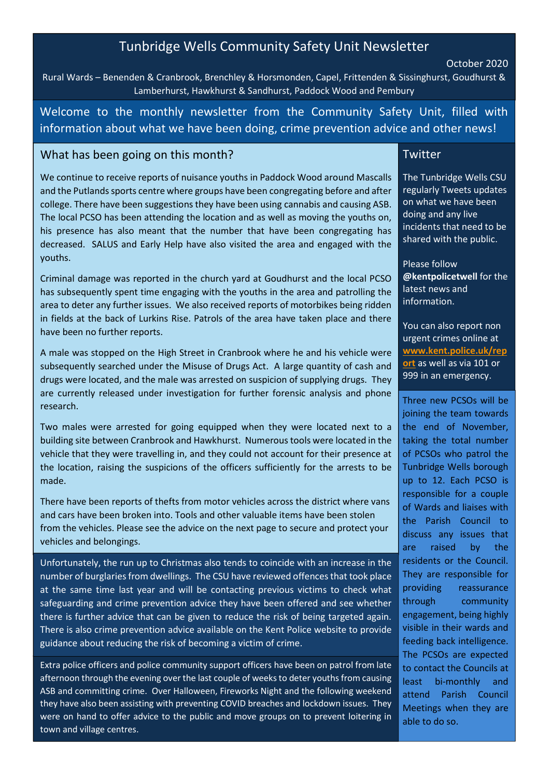# Tunbridge Wells Community Safety Unit Newsletter

### October 2020

Rural Wards – Benenden & Cranbrook, Brenchley & Horsmonden, Capel, Frittenden & Sissinghurst, Goudhurst & Lamberhurst, Hawkhurst & Sandhurst, Paddock Wood and Pembury

Welcome to the monthly newsletter from the Community Safety Unit, filled with information about what we have been doing, crime prevention advice and other news!

## What has been going on this month?

We continue to receive reports of nuisance youths in Paddock Wood around Mascalls and the Putlands sports centre where groups have been congregating before and after college. There have been suggestions they have been using cannabis and causing ASB. The local PCSO has been attending the location and as well as moving the youths on, his presence has also meant that the number that have been congregating has decreased. SALUS and Early Help have also visited the area and engaged with the youths.

Criminal damage was reported in the church yard at Goudhurst and the local PCSO has subsequently spent time engaging with the youths in the area and patrolling the area to deter any further issues. We also received reports of motorbikes being ridden in fields at the back of Lurkins Rise. Patrols of the area have taken place and there have been no further reports.

A male was stopped on the High Street in Cranbrook where he and his vehicle were subsequently searched under the Misuse of Drugs Act. A large quantity of cash and drugs were located, and the male was arrested on suspicion of supplying drugs. They are currently released under investigation for further forensic analysis and phone research.

Two males were arrested for going equipped when they were located next to a building site between Cranbrook and Hawkhurst. Numerous tools were located in the vehicle that they were travelling in, and they could not account for their presence at the location, raising the suspicions of the officers sufficiently for the arrests to be made.

There have been reports of thefts from motor vehicles across the district where vans and cars have been broken into. Tools and other valuable items have been stolen from the vehicles. Please see the advice on the next page to secure and protect your vehicles and belongings.

Unfortunately, the run up to Christmas also tends to coincide with an increase in the number of burglaries from dwellings. The CSU have reviewed offences that took place at the same time last year and will be contacting previous victims to check what safeguarding and crime prevention advice they have been offered and see whether there is further advice that can be given to reduce the risk of being targeted again. There is also crime prevention advice available on the Kent Police website to provide guidance about reducing the risk of becoming a victim of crime.

Extra police officers and police community support officers have been on patrol from late afternoon through the evening over the last couple of weeks to deter youths from causing ASB and committing crime. Over Halloween, Fireworks Night and the following weekend they have also been assisting with preventing COVID breaches and lockdown issues. They were on hand to offer advice to the public and move groups on to prevent loitering in town and village centres.

### **Twitter**

The Tunbridge Wells CSU regularly Tweets updates on what we have been doing and any live incidents that need to be shared with the public.

Please follow @kentpolicetwell for the latest news and information.

You can also report non urgent crimes online at www.kent.police.uk/rep ort as well as via 101 or 999 in an emergency.

Three new PCSOs will be joining the team towards the end of November, taking the total number of PCSOs who patrol the Tunbridge Wells borough up to 12. Each PCSO is responsible for a couple of Wards and liaises with the Parish Council to discuss any issues that are raised by the residents or the Council. They are responsible for providing reassurance through community engagement, being highly visible in their wards and feeding back intelligence. The PCSOs are expected to contact the Councils at least bi-monthly and attend Parish Council Meetings when they are able to do so.